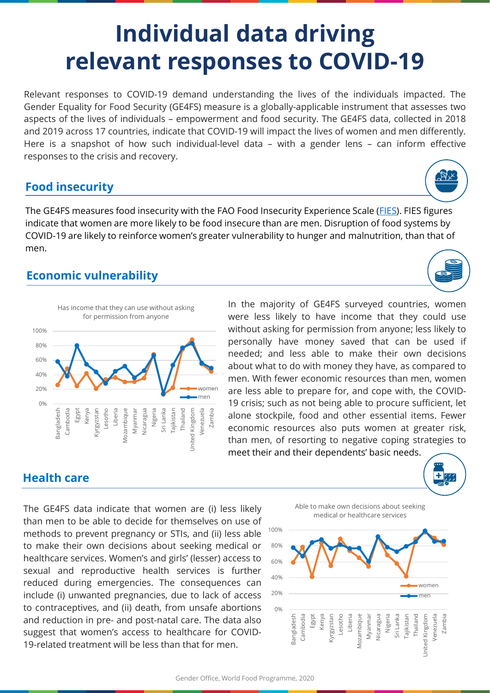# **Individual data driving relevant responses to COVID-19**

Relevant responses to COVID-19 demand understanding the lives of the individuals impacted. The Gender Equality for Food Security (GE4FS) measure is a globally-applicable instrument that assesses two aspects of the lives of individuals – empowerment and food security. The GE4FS data, collected in 2018 and 2019 across 17 countries, indicate that COVID-19 will impact the lives of women and men differently. Here is a snapshot of how such individual-level data – with a gender lens – can inform effective responses to the crisis and recovery.

### **Food insecurity**

The GE4FS measures food insecurity with the FAO Food Insecurity Experience Scale ([FIES\)](http://www.fao.org/in-action/voices-of-the-hungry/fies/en/). FIES figures indicate that women are more likely to be food insecure than are men. Disruption of food systems by COVID-19 are likely to reinforce women's greater vulnerability to hunger and malnutrition, than that of men.

## **Economic vulnerability**



In the majority of GE4FS surveyed countries, women were less likely to have income that they could use without asking for permission from anyone; less likely to personally have money saved that can be used if needed; and less able to make their own decisions about what to do with money they have, as compared to men. With fewer economic resources than men, women are less able to prepare for, and cope with, the COVID-19 crisis; such as not being able to procure sufficient, let alone stockpile, food and other essential items. Fewer economic resources also puts women at greater risk, than men, of resorting to negative coping strategies to meet their and their dependents' basic needs.

### **Health care**

The GE4FS data indicate that women are (i) less likely than men to be able to decide for themselves on use of methods to prevent pregnancy or STIs, and (ii) less able to make their own decisions about seeking medical or healthcare services. Women's and girls' (lesser) access to sexual and reproductive health services is further reduced during emergencies. The consequences can include (i) unwanted pregnancies, due to lack of access to contraceptives, and (ii) death, from unsafe abortions and reduction in pre- and post-natal care. The data also suggest that women's access to healthcare for COVID-19-related treatment will be less than that for men.



Able to make own decisions about seeking





Ŧ